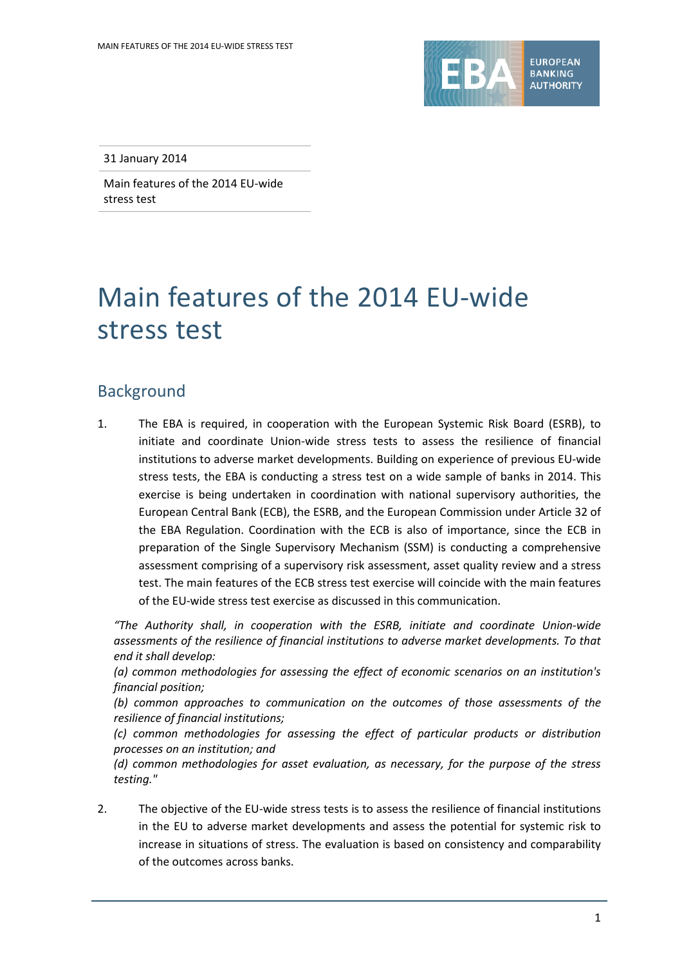

31 January 2014

Main features of the 2014 EU-wide stress test

# Main features of the 2014 EU-wide stress test

## Background

1. The EBA is required, in cooperation with the European Systemic Risk Board (ESRB), to initiate and coordinate Union-wide stress tests to assess the resilience of financial institutions to adverse market developments. Building on experience of previous EU-wide stress tests, the EBA is conducting a stress test on a wide sample of banks in 2014. This exercise is being undertaken in coordination with national supervisory authorities, the European Central Bank (ECB), the ESRB, and the European Commission under Article 32 of the EBA Regulation. Coordination with the ECB is also of importance, since the ECB in preparation of the Single Supervisory Mechanism (SSM) is conducting a comprehensive assessment comprising of a supervisory risk assessment, asset quality review and a stress test. The main features of the ECB stress test exercise will coincide with the main features of the EU-wide stress test exercise as discussed in this communication.

*"The Authority shall, in cooperation with the ESRB, initiate and coordinate Union-wide assessments of the resilience of financial institutions to adverse market developments. To that end it shall develop:*

*(a) common methodologies for assessing the effect of economic scenarios on an institution's financial position;*

*(b) common approaches to communication on the outcomes of those assessments of the resilience of financial institutions;*

*(c) common methodologies for assessing the effect of particular products or distribution processes on an institution; and*

*(d) common methodologies for asset evaluation, as necessary, for the purpose of the stress testing."*

2. The objective of the EU-wide stress tests is to assess the resilience of financial institutions in the EU to adverse market developments and assess the potential for systemic risk to increase in situations of stress. The evaluation is based on consistency and comparability of the outcomes across banks.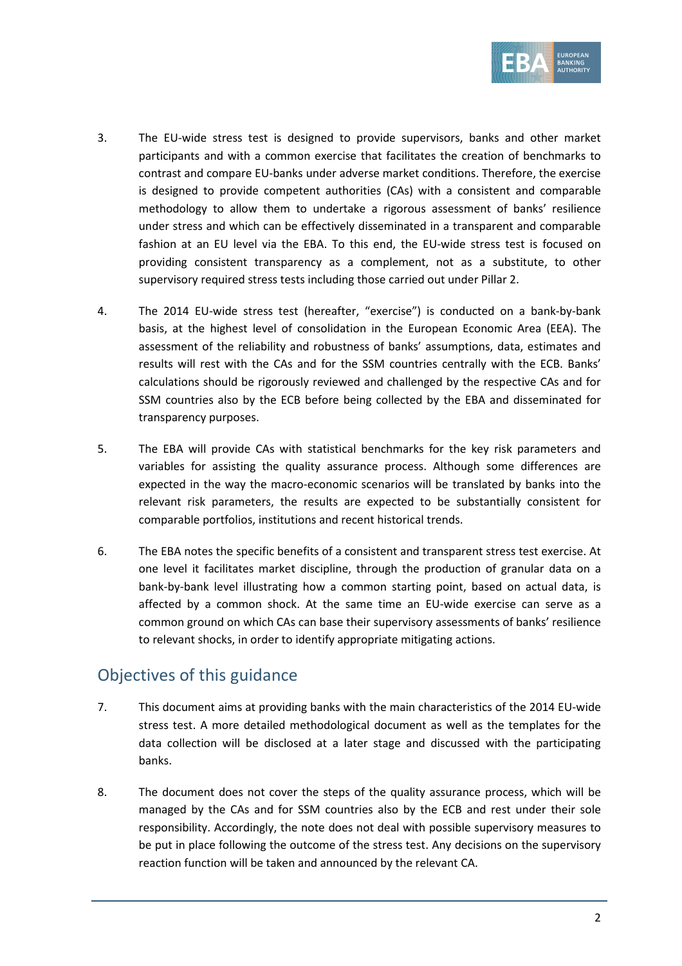

- 3. The EU-wide stress test is designed to provide supervisors, banks and other market participants and with a common exercise that facilitates the creation of benchmarks to contrast and compare EU-banks under adverse market conditions. Therefore, the exercise is designed to provide competent authorities (CAs) with a consistent and comparable methodology to allow them to undertake a rigorous assessment of banks' resilience under stress and which can be effectively disseminated in a transparent and comparable fashion at an EU level via the EBA. To this end, the EU-wide stress test is focused on providing consistent transparency as a complement, not as a substitute, to other supervisory required stress tests including those carried out under Pillar 2.
- 4. The 2014 EU-wide stress test (hereafter, "exercise") is conducted on a bank-by-bank basis, at the highest level of consolidation in the European Economic Area (EEA). The assessment of the reliability and robustness of banks' assumptions, data, estimates and results will rest with the CAs and for the SSM countries centrally with the ECB. Banks' calculations should be rigorously reviewed and challenged by the respective CAs and for SSM countries also by the ECB before being collected by the EBA and disseminated for transparency purposes.
- 5. The EBA will provide CAs with statistical benchmarks for the key risk parameters and variables for assisting the quality assurance process. Although some differences are expected in the way the macro-economic scenarios will be translated by banks into the relevant risk parameters, the results are expected to be substantially consistent for comparable portfolios, institutions and recent historical trends.
- 6. The EBA notes the specific benefits of a consistent and transparent stress test exercise. At one level it facilitates market discipline, through the production of granular data on a bank-by-bank level illustrating how a common starting point, based on actual data, is affected by a common shock. At the same time an EU-wide exercise can serve as a common ground on which CAs can base their supervisory assessments of banks' resilience to relevant shocks, in order to identify appropriate mitigating actions.

# Objectives of this guidance

- 7. This document aims at providing banks with the main characteristics of the 2014 EU-wide stress test. A more detailed methodological document as well as the templates for the data collection will be disclosed at a later stage and discussed with the participating banks.
- 8. The document does not cover the steps of the quality assurance process, which will be managed by the CAs and for SSM countries also by the ECB and rest under their sole responsibility. Accordingly, the note does not deal with possible supervisory measures to be put in place following the outcome of the stress test. Any decisions on the supervisory reaction function will be taken and announced by the relevant CA.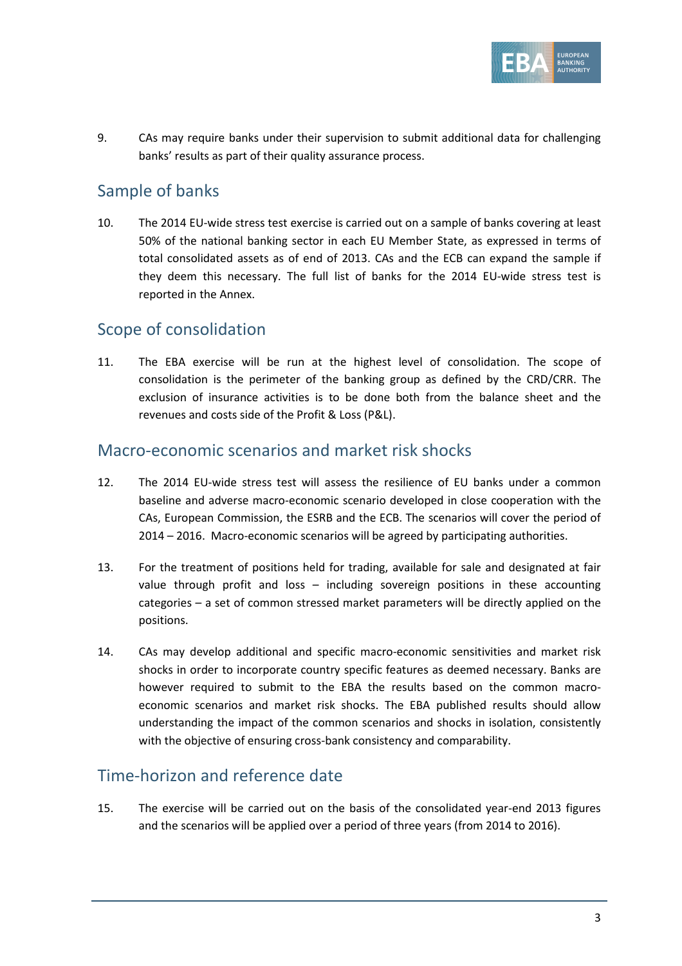

9. CAs may require banks under their supervision to submit additional data for challenging banks' results as part of their quality assurance process.

## Sample of banks

10. The 2014 EU-wide stress test exercise is carried out on a sample of banks covering at least 50% of the national banking sector in each EU Member State, as expressed in terms of total consolidated assets as of end of 2013. CAs and the ECB can expand the sample if they deem this necessary. The full list of banks for the 2014 EU-wide stress test is reported in the Annex.

## Scope of consolidation

11. The EBA exercise will be run at the highest level of consolidation. The scope of consolidation is the perimeter of the banking group as defined by the CRD/CRR. The exclusion of insurance activities is to be done both from the balance sheet and the revenues and costs side of the Profit & Loss (P&L).

#### Macro-economic scenarios and market risk shocks

- 12. The 2014 EU-wide stress test will assess the resilience of EU banks under a common baseline and adverse macro-economic scenario developed in close cooperation with the CAs, European Commission, the ESRB and the ECB. The scenarios will cover the period of 2014 – 2016. Macro-economic scenarios will be agreed by participating authorities.
- 13. For the treatment of positions held for trading, available for sale and designated at fair value through profit and loss – including sovereign positions in these accounting categories – a set of common stressed market parameters will be directly applied on the positions.
- 14. CAs may develop additional and specific macro-economic sensitivities and market risk shocks in order to incorporate country specific features as deemed necessary. Banks are however required to submit to the EBA the results based on the common macroeconomic scenarios and market risk shocks. The EBA published results should allow understanding the impact of the common scenarios and shocks in isolation, consistently with the objective of ensuring cross-bank consistency and comparability.

## Time-horizon and reference date

15. The exercise will be carried out on the basis of the consolidated year-end 2013 figures and the scenarios will be applied over a period of three years (from 2014 to 2016).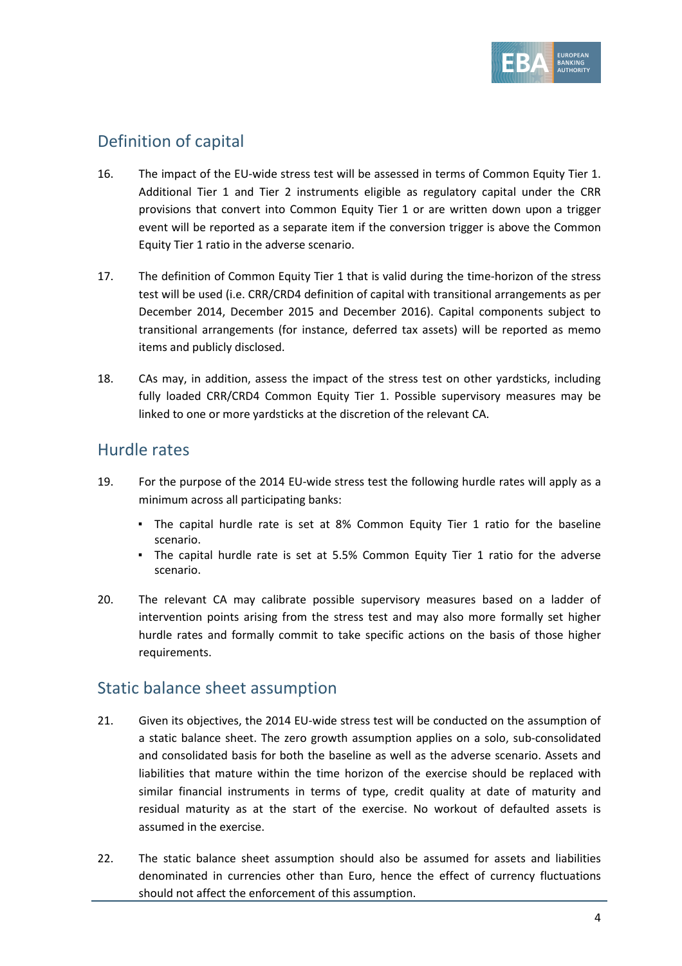

# Definition of capital

- 16. The impact of the EU-wide stress test will be assessed in terms of Common Equity Tier 1. Additional Tier 1 and Tier 2 instruments eligible as regulatory capital under the CRR provisions that convert into Common Equity Tier 1 or are written down upon a trigger event will be reported as a separate item if the conversion trigger is above the Common Equity Tier 1 ratio in the adverse scenario.
- 17. The definition of Common Equity Tier 1 that is valid during the time-horizon of the stress test will be used (i.e. CRR/CRD4 definition of capital with transitional arrangements as per December 2014, December 2015 and December 2016). Capital components subject to transitional arrangements (for instance, deferred tax assets) will be reported as memo items and publicly disclosed.
- 18. CAs may, in addition, assess the impact of the stress test on other yardsticks, including fully loaded CRR/CRD4 Common Equity Tier 1. Possible supervisory measures may be linked to one or more yardsticks at the discretion of the relevant CA.

## Hurdle rates

- 19. For the purpose of the 2014 EU-wide stress test the following hurdle rates will apply as a minimum across all participating banks:
	- The capital hurdle rate is set at 8% Common Equity Tier 1 ratio for the baseline scenario.
	- The capital hurdle rate is set at 5.5% Common Equity Tier 1 ratio for the adverse scenario.
- 20. The relevant CA may calibrate possible supervisory measures based on a ladder of intervention points arising from the stress test and may also more formally set higher hurdle rates and formally commit to take specific actions on the basis of those higher requirements.

#### Static balance sheet assumption

- 21. Given its objectives, the 2014 EU-wide stress test will be conducted on the assumption of a static balance sheet. The zero growth assumption applies on a solo, sub-consolidated and consolidated basis for both the baseline as well as the adverse scenario. Assets and liabilities that mature within the time horizon of the exercise should be replaced with similar financial instruments in terms of type, credit quality at date of maturity and residual maturity as at the start of the exercise. No workout of defaulted assets is assumed in the exercise.
- 22. The static balance sheet assumption should also be assumed for assets and liabilities denominated in currencies other than Euro, hence the effect of currency fluctuations should not affect the enforcement of this assumption.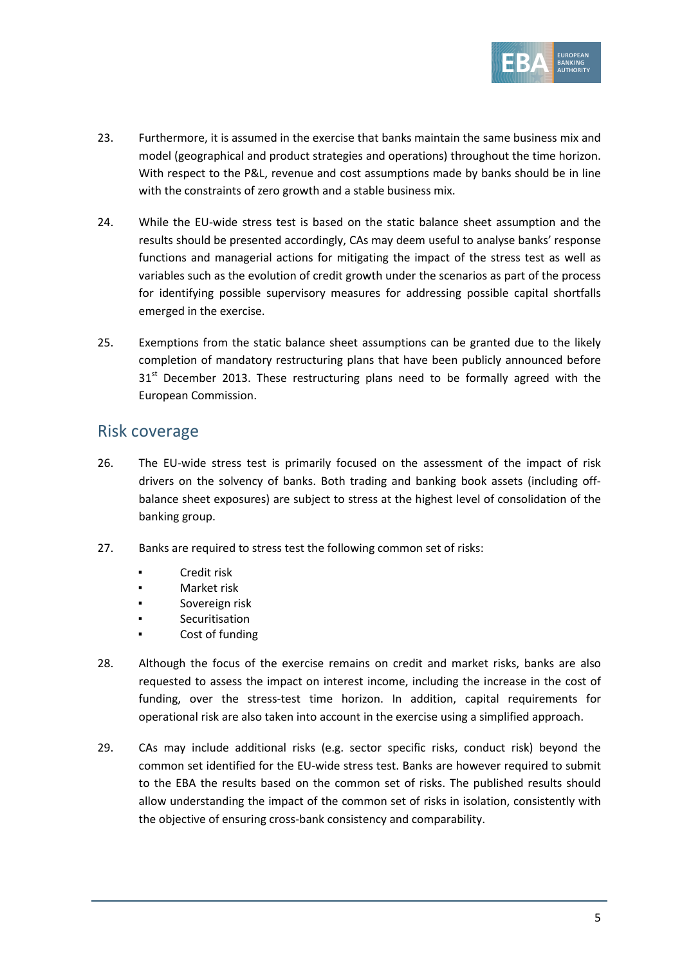

- 23. Furthermore, it is assumed in the exercise that banks maintain the same business mix and model (geographical and product strategies and operations) throughout the time horizon. With respect to the P&L, revenue and cost assumptions made by banks should be in line with the constraints of zero growth and a stable business mix.
- 24. While the EU-wide stress test is based on the static balance sheet assumption and the results should be presented accordingly, CAs may deem useful to analyse banks' response functions and managerial actions for mitigating the impact of the stress test as well as variables such as the evolution of credit growth under the scenarios as part of the process for identifying possible supervisory measures for addressing possible capital shortfalls emerged in the exercise.
- 25. Exemptions from the static balance sheet assumptions can be granted due to the likely completion of mandatory restructuring plans that have been publicly announced before  $31<sup>st</sup>$  December 2013. These restructuring plans need to be formally agreed with the European Commission.

#### Risk coverage

- 26. The EU-wide stress test is primarily focused on the assessment of the impact of risk drivers on the solvency of banks. Both trading and banking book assets (including offbalance sheet exposures) are subject to stress at the highest level of consolidation of the banking group.
- 27. Banks are required to stress test the following common set of risks:
	- Credit risk
	- Market risk
	- Sovereign risk
	- Securitisation
	- Cost of funding
- 28. Although the focus of the exercise remains on credit and market risks, banks are also requested to assess the impact on interest income, including the increase in the cost of funding, over the stress-test time horizon. In addition, capital requirements for operational risk are also taken into account in the exercise using a simplified approach.
- 29. CAs may include additional risks (e.g. sector specific risks, conduct risk) beyond the common set identified for the EU-wide stress test. Banks are however required to submit to the EBA the results based on the common set of risks. The published results should allow understanding the impact of the common set of risks in isolation, consistently with the objective of ensuring cross-bank consistency and comparability.